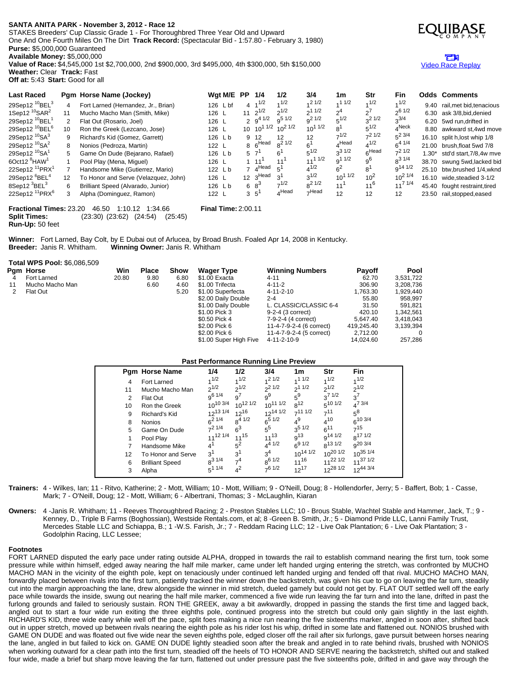# **SANTA ANITA PARK - November 3, 2012 - Race 12**

STAKES Breeders' Cup Classic Grade 1 - For Thoroughbred Three Year Old and Upward One And One Fourth Miles On The Dirt **Track Record:** (Spectacular Bid - 1:57.80 - February 3, 1980) **Purse:** \$5,000,000 Guaranteed

**Available Money:** \$5,000,000

**Value of Race:** \$4,545,000 1st \$2,700,000, 2nd \$900,000, 3rd \$495,000, 4th \$300,000, 5th \$150,000 **Weather:** Clear **Track:** Fast



**Fractional Times:** 23.20 46.50 1:10.12 1:34.66 **Final Time:** 2:00.11 **Split Times:** (23:30) (23:62) (24:54) (25:45) **Run-Up:** 50 feet

Winner: Fort Larned, Bay Colt, by E Dubai out of Arlucea, by Broad Brush. Foaled Apr 14, 2008 in Kentucky.<br>Breeder: Janis R. Whitham. Winning Owner: Janis R. Whitham **Breeder:** Janis R. Whitham. **Winning Owner:** Janis R. Whitham

|    | <b>Total WPS Pool: \$6,086,509</b> |       |              |      |                                        |                          |               |             |
|----|------------------------------------|-------|--------------|------|----------------------------------------|--------------------------|---------------|-------------|
|    | Pam Horse                          | Win   | <b>Place</b> | Show | <b>Wager Type</b>                      | <b>Winning Numbers</b>   | <b>Payoff</b> | <b>Pool</b> |
|    | Fort Larned                        | 20.80 | 9.80         | 6.80 | \$1.00 Exacta                          | $4 - 11$                 | 62.70         | 3,531,722   |
| 11 | Mucho Macho Man                    |       | 6.60         | 4.60 | \$1.00 Trifecta                        | $4 - 11 - 2$             | 306.90        | 3,208,736   |
|    | Flat Out                           |       |              | 5.20 | $4 - 11 - 2 - 10$<br>\$1.00 Superfecta |                          | 1,763.30      | 1,929,440   |
|    |                                    |       |              |      | \$2.00 Daily Double                    | $2 - 4$                  | 55.80         | 958.997     |
|    |                                    |       |              |      | \$1.00 Daily Double                    | L. CLASSIC/CLASSIC 6-4   | 31.50         | 591.821     |
|    |                                    |       |              |      | \$1.00 Pick 3                          | 9-2-4 (3 correct)        | 420.10        | 1.342.561   |
|    |                                    |       |              |      | \$0.50 Pick 4                          | 7-9-2-4 (4 correct)      | 5.647.40      | 3,418,043   |
|    |                                    |       |              |      | \$2.00 Pick 6                          | 11-4-7-9-2-4 (6 correct) | 419.245.40    | 3.139.394   |
|    |                                    |       |              |      | \$2.00 Pick 6                          | 11-4-7-9-2-4 (5 correct) | 2.712.00      |             |
|    |                                    |       |              |      | \$1.00 Super High Five                 | 4-11-2-10-9              | 14.024.60     | 257.286     |

## **Past Performance Running Line Preview**

|    | <b>Pam Horse Name</b>  | 1/4             | 1/2             | 3/4             | 1m                 | Str            | <b>Fin</b>          |
|----|------------------------|-----------------|-----------------|-----------------|--------------------|----------------|---------------------|
| 4  | Fort Larned            | 1/2             | 1/2             | $1/2$ 1/2       | 11/2               | 1/2            | 1/2                 |
| 11 | Mucho Macho Man        | $2^{1/2}$       | $2^{1/2}$       | $2^{1/2}$       | 211/2              | $2^{1/2}$      | $2^{1/2}$           |
| 2  | Flat Out               | $q^{6}$ 1/4     | g <sup>7</sup>  | $9^9$           | $5^9$              | $3^{7}1/2$     | $3^7$               |
| 10 | Ron the Greek          | $10^{10}$ 3/4   | $10^{12}$ $1/2$ | $10^{11}$ $1/2$ | $8^{12}$           | $5^{10}$ $1/2$ | $4^{7}$ 3/4         |
| 9  | Richard's Kid          | $12^{13}$ $1/4$ | $12^{16}$       | $12^{14}$ $1/2$ | $-111/2$           | 711            | $5^8$               |
| 8  | <b>Nonios</b>          | $6^{21/4}$      | $8^{4}$ 1/2     | $6^{5}$ $1/2$   | $4^9$              | $4^{10}$       | $6^{10}$ 3/4        |
| 5  | Game On Dude           | $7^2$ 1/4       | $6^3$           | $5^{5}$         | 3 <sup>5</sup> 1/2 | $6^{11}$       | $7^{15}$            |
| 1  | Pool Play              | $11^{12}$ $1/4$ | $11^{15}$       | $11^{13}$       | $q^{13}$           | $q^{14}$ 1/2   | 8 <sup>17 1/2</sup> |
|    | Handsome Mike          | $4^{1}$         | $5^2$           | $4^{4}$ 1/2     | $6^{9}$ 1/2        | $8^{13}$ 1/2   | g <sup>20</sup> 3/4 |
| 12 | To Honor and Serve     | 3 <sup>1</sup>  | 3 <sup>1</sup>  | $3^4$           | $10^{14}$ $1/2$    | $10^{20}$ 1/2  | $10^{35}$ 1/4       |
| 6  | <b>Brilliant Speed</b> | $8^{31/4}$      | $\mathcal{A}$   | $8^{6}$ 1/2     | $11^{16}$          | $11^{22}$ 1/2  | $11^{37}$ 1/2       |
| 3  | Alpha                  | $5^{11/4}$      | 42              | 761/2           | $12^{17}$          | $12^{28}$ 1/2  | $12^{44}$ 3/4       |

- **Trainers:** 4 Wilkes, Ian; 11 Ritvo, Katherine; 2 Mott, William; 10 Mott, William; 9 O'Neill, Doug; 8 Hollendorfer, Jerry; 5 Baffert, Bob; 1 Casse, Mark; 7 - O'Neill, Doug; 12 - Mott, William; 6 - Albertrani, Thomas; 3 - McLaughlin, Kiaran
- **Owners:** 4 -Janis R. Whitham; 11 Reeves Thoroughbred Racing; 2 Preston Stables LLC; 10 Brous Stable, Wachtel Stable and Hammer, Jack, T.; 9 Kenney, D., Triple B Farms (Boghossian), Westside Rentals.com, et al; 8 -Green B. Smith, Jr.; 5 - Diamond Pride LLC, Lanni Family Trust, Mercedes Stable LLC and Schiappa, B.; 1 -W.S. Farish, Jr.; 7 - Reddam Racing LLC; 12 - Live Oak Plantation; 6 - Live Oak Plantation; 3 - Godolphin Racing, LLC Lessee;

### **Footnotes**

FORT LARNED disputed the early pace under rating outside ALPHA, dropped in towards the rail to establish command nearing the first turn, took some pressure while within himself, edged away nearing the half mile marker, came under left handed urging entering the stretch, was confronted by MUCHO MACHO MAN in the vicinity of the eighth pole, kept on tenaciously under continued left handed urging and fended off that rival. MUCHO MACHO MAN, forwardly placed between rivals into the first turn, patiently tracked the winner down the backstretch, was given his cue to go on leaving the far turn, steadily cut into the margin approaching the lane, drew alongside the winner in mid stretch, dueled gamely but could not get by. FLAT OUT settled well off the early pace while towards the inside, swung out nearing the half mile marker, commenced a five wide run leaving the far turn and into the lane, drifted in past the furlong grounds and failed to seriously sustain. RON THE GREEK, away a bit awkwardly, dropped in passing the stands the first time and lagged back, angled out to start a four wide run exiting the three eighths pole, continued progress into the stretch but could only gain slightly in the last eighth. RICHARD'S KID, three wide early while well off the pace, split foes making a nice run nearing the five sixteenths marker, angled in soon after, shifted back out in upper stretch, moved up between rivals nearing the eighth pole as his rider lost his whip, drifted in some late and flattened out. NONIOS brushed with GAME ON DUDE and was floated out five wide near the seven eighths pole, edged closer off the rail after six furlongs, gave pursuit between horses nearing the lane, angled in but failed to kick on. GAME ON DUDE lightly steadied soon after the break and angled in to rate behind rivals, brushed with NONIOS when working outward for a clear path into the first turn, steadied off the heels of TO HONOR AND SERVE nearing the backstretch, shifted out and stalked four wide, made a brief but sharp move leaving the far turn, flattened out under pressure past the five sixteenths pole, drifted in and gave way through the



## m Video Race [Replay](http://www.equibase.com/premium/eqpRaceVideo.cfm?TRK=SA&CY=USA&DATE=11/03/2012&RACE=12&DAY=D&site=CHRR)